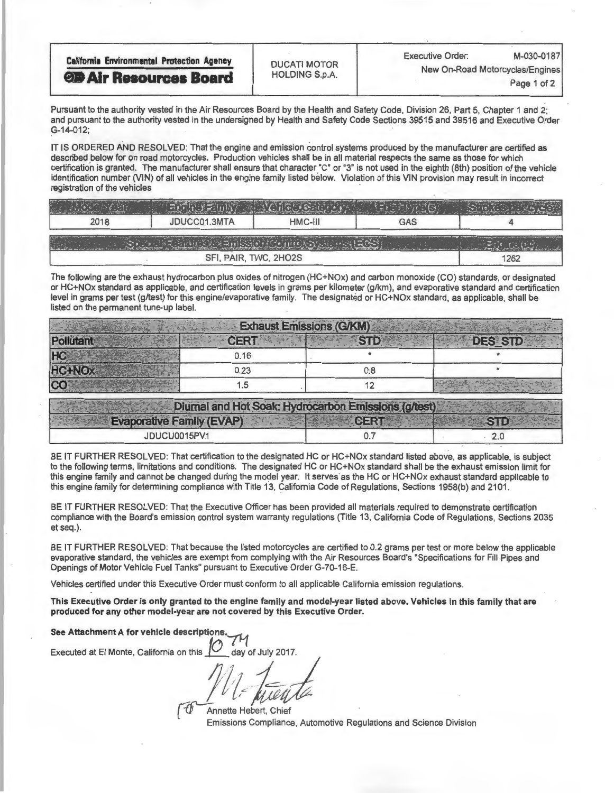| <b>California Environmental Protection Agency</b><br><b>OD Air Resources Board</b> | <b>DUCATI MOTOR</b>   | M-030-0187<br><b>Executive Order:</b> |             |  |
|------------------------------------------------------------------------------------|-----------------------|---------------------------------------|-------------|--|
|                                                                                    | <b>HOLDING S.p.A.</b> | New On-Road Motorcycles/Engines       | Page 1 of 2 |  |
|                                                                                    |                       |                                       |             |  |

Pursuant to the authority vested in the Air Resources Board by the Health and Safety Code, Division 26, Part 5, Chapter 1 and 2; and pursuant to the authority vested in the undersigned by Health and Safety Code Sections 39515 and 39516 and Executive Order G-14-012;

IT IS ORDERED AND RESOLVED: That the engine and emission control systems produced by the manufacturer are certified as described below for on road motorcycles. Production vehicles shall be in all material respects the same as those for which<br>certification is granted. The manufacturer shall ensure that character "C" or "3" is not used in th certification is granted. The manufacturer shall ensure that character ."C" or "3" is not used in the eighth (8th) position of the vehicle identification number (VIN) of all vehicles in the engine family listed below. Violation of this VIN provision may result in incorrect registration of the vehicles

| 2018 | JDUCC01.3MTA | HMC-III | <b>GAS</b> |  |  |  |
|------|--------------|---------|------------|--|--|--|
|      |              |         |            |  |  |  |
|      | 1262         |         |            |  |  |  |

The following are the exhaust hydrocarbon plus oxides of nitrogen (HC+NOx) and carbon monoxide (CO) standards, or designated or HC+NOx standard as applicable, and certification levels in grams per kilometer (g/km), and evaporative standard and certification level in grams per test (g/test) for this engine/evaporative family. The designated or HC+NOx standard, as applicable, shall be listed on the permanent tune-up label.

| CER <sub>1</sub> |     | <b>DES STD</b>                  |
|------------------|-----|---------------------------------|
| 0.16             |     |                                 |
| 0.23             | 0.8 |                                 |
| 5. ا             |     |                                 |
|                  |     | <b>Exhaust Emissions (G/KM)</b> |

| Diumal and Hot Soak: Hydrocarbon Emissions (g/test) |      |  |
|-----------------------------------------------------|------|--|
| <b>Evaporative Family (EVAP)</b>                    | ebru |  |
| IDUCU0015PV1                                        |      |  |

BE IT FURTHER RESOLVED: That certification to the designated HC or HC+NOx standard listed above, as applicable, is subject to the following terms, limitations and conditions. The designated HC or HC+NOx standard shall be the exhaust emission limit for this engine family and cannot be changed during the model year. It serves as the HC or HC+NOx exhaust standard applicable to this engine family for determining compliance with Title 13, California Code of Regulations, Sections 1958(b) and 2101.

BE IT FURTHER RESOLVED: That the Executive Officer has been provided all materials required to demonstrate certification compliance with the Board's emission control system warranty regulations (Title 13, California Code of Regulations, Sections 2035 et seq.).

BE IT FURTHER RESOLVED: That because the listed motorcycles are certified to 0.2 grams per test or more below the applicable evaporative standard, the vehicles are exempt from complying with the Air Resources Board's "Specifications for Fill Pipes and Openings of Motor Vehicle Fuel Tanks" pursuant to Executive Order G-70-16-E

Vehicles certified under this Executive Order must conform to all applicable California emission regulations.

This Executive Order is only granted to the engine family and model-year listed above. Vehicles in this family that are produced for any other model-year are not covered by this Executive Order.

See Attachment A for vehicle descriptions

Executed at El Monte, California on this day of July 2017.

 $E = \frac{1}{2}$ 

Annette Hebert, Chief Emissions Compliance, Automotive Regulations and Science Division